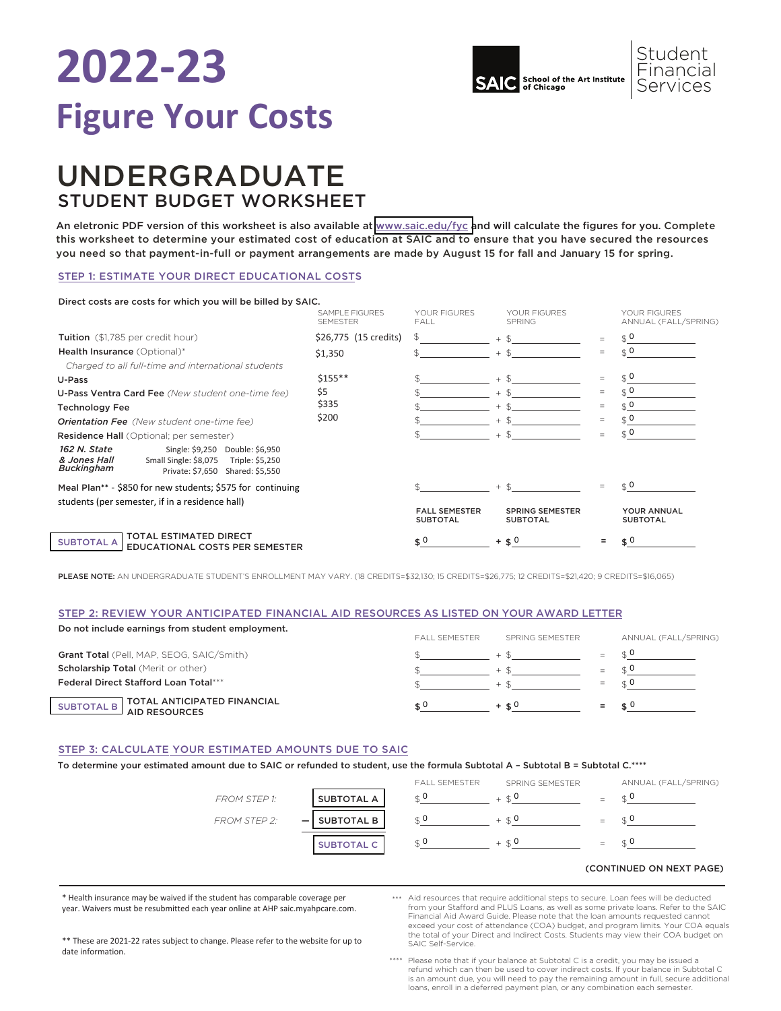

### UNDERGRADUATE STUDENT BUDGET WORKSHEET

An eletronic PDF version of this worksheet is also available at [www.saic.edu/fyc a](https://www.saic.edu/tuition/figure-your-costs)nd will calculate the figures for you. Complete this worksheet to determine your estimated cost of education at SAIC and to ensure that you have secured the resources you need so that payment-in-full or payment arrangements are made by August 15 for fall and January 15 for spring.

### STEP 1: ESTIMATE YOUR DIRECT EDUCATIONAL COSTS

#### Direct costs are costs for which you will be billed by SAIC.

|                                                                                                                                                               | SAMPLE FIGURES<br><b>SEMESTER</b> | YOUR FIGURES<br>FALL                    | YOUR FIGURES<br><b>SPRING</b>             |                                 | YOUR FIGURES<br>ANNUAL (FALL/SPRING) |
|---------------------------------------------------------------------------------------------------------------------------------------------------------------|-----------------------------------|-----------------------------------------|-------------------------------------------|---------------------------------|--------------------------------------|
| Tuition (\$1,785 per credit hour)                                                                                                                             | \$26,775 (15 credits)             |                                         | $+$ \$                                    |                                 | $\mathfrak{g}$ 0                     |
| Health Insurance (Optional)*<br>Charged to all full-time and international students                                                                           | \$1,350                           |                                         | $+$ \$                                    | $=$                             | $\mathfrak{g}$ 0                     |
| U-Pass                                                                                                                                                        | $$155***$                         |                                         | $+$ \$                                    | $=$                             | $\mathfrak{g}$ 0                     |
| U-Pass Ventra Card Fee (New student one-time fee)                                                                                                             | \$5<br>\$335                      |                                         | $+ $$                                     | $=$<br>$=$                      | \$0                                  |
| <b>Technology Fee</b>                                                                                                                                         |                                   |                                         | $\mathcal{F}$<br>$+$                      |                                 | \$0                                  |
| <b>Orientation Fee</b> (New student one-time fee)                                                                                                             | \$200                             |                                         | $+$ \$                                    | $=$                             | $\mathcal{L}$                        |
| <b>Residence Hall</b> (Optional; per semester)                                                                                                                |                                   |                                         | $+$ \$                                    | $\hspace{0.1mm}-\hspace{0.1mm}$ | $\in \mathbf{0}$                     |
| Single: \$9,250 Double: \$6,950<br>162 N. State<br>Small Single: \$8,075<br>& Jones Hall<br>Triple: \$5,250<br>Buckingham<br>Private: \$7,650 Shared: \$5,550 |                                   |                                         |                                           |                                 |                                      |
| Meal Plan** - \$850 for new students; \$575 for continuing                                                                                                    |                                   |                                         | $+$ \$                                    |                                 | $\sigma \approx$                     |
| students (per semester, if in a residence hall)                                                                                                               |                                   | <b>FALL SEMESTER</b><br><b>SUBTOTAL</b> | <b>SPRING SEMESTER</b><br><b>SUBTOTAL</b> |                                 | YOUR ANNUAL<br><b>SUBTOTAL</b>       |
| <b>TOTAL ESTIMATED DIRECT</b><br><b>SUBTOTAL A</b><br><b>EDUCATIONAL COSTS PER SEMESTER</b>                                                                   |                                   | $\hat{\mathbf{s}}$ 0                    | $+$ \$ 0                                  |                                 | $\epsilon$ 0                         |

PLEASE NOTE: AN UNDERGRADUATE STUDENT'S ENROLLMENT MAY VARY. (18 CREDITS=\$32,130; 15 CREDITS=\$26,775; 12 CREDITS=\$14,420; 9 CREDITS=\$16,065)

### STEP 2: REVIEW YOUR ANTICIPATED FINANCIAL AID RESOURCES AS LISTED ON YOUR AWARD LETTER

| Do not include earnings from student employment. | <b>FAIL SEMESTER</b> | SPRING SEMESTER |     | ANNUAL (FALL/SPRING) |  |
|--------------------------------------------------|----------------------|-----------------|-----|----------------------|--|
|                                                  |                      |                 |     |                      |  |
| Grant Total (Pell, MAP, SEOG, SAIC/Smith)        |                      |                 |     |                      |  |
| <b>Scholarship Total (Merit or other)</b>        |                      | $+$ $\alpha$    | $=$ |                      |  |
| <b>Federal Direct Stafford Loan Total***</b>     |                      |                 |     |                      |  |
| SUBTOTAL B TOTAL ANTICIPATED FINANCIAL           |                      | $+$ $+$ $0$     |     |                      |  |

### STEP 3: CALCULATE YOUR ESTIMATED AMOUNTS DUE TO SAIC

To determine your estimated amount due to SAIC or refunded to student, use the formula Subtotal A – Subtotal B = Subtotal C.\*\*\*\*



### (CONTINUED ON NEXT PAGE)

\* Health insurance may be waived if the student has comparable coverage per year. Waivers must be resubmitted each year online at AHP saic.myahpcare.com.

Financial Aid Award Guide. Please note that the loan amounts requested cannot exceed your cost of attendance (COA) budget, and program limits. Your COA equals the total of your Direct and Indirect Costs. Students may view their COA budget on SAIC Self-Service.

\*\* These are 2021-22 rates subject to change. Please refer to the website for up to date information.

\*\*\*\* Please note that if your balance at Subtotal C is a credit, you may be issued a refund which can then be used to cover indirect costs. If your balance in Subtotal C is an amount due, you will need to pay the remaining amount in full, secure additional loans, enroll in a deferred payment plan, or any combination each semester.

\*\*\* Aid resources that require additional steps to secure. Loan fees will be deducted from your Staord and PLUS Loans, as well as some private loans. Refer to the SAIC